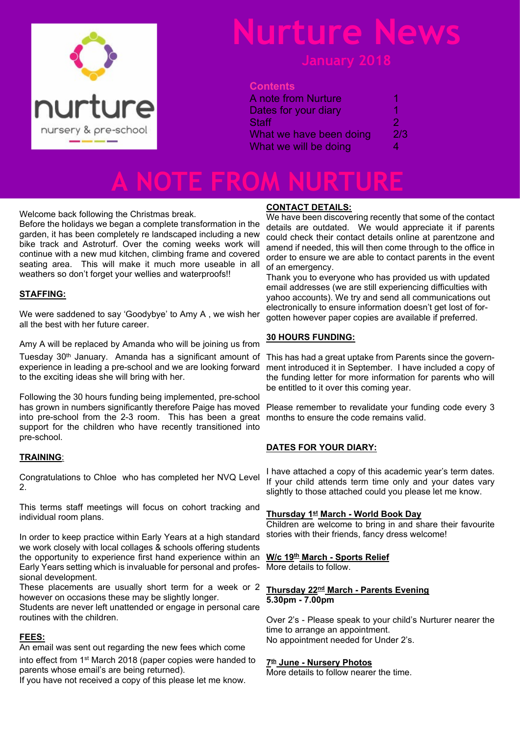

## **Nurture News**

#### **January 2018**

#### **Contents**

| <b>A</b> note from Nurture | п   |
|----------------------------|-----|
| Dates for your diary       | 1   |
| <b>Staff</b>               | 2   |
| What we have been doing    | 2/3 |
| What we will be doing      | 4   |

## **A NOTE FROM NURTURE**

Welcome back following the Christmas break.

Before the holidays we began a complete transformation in the garden, it has been completely re landscaped including a new bike track and Astroturf. Over the coming weeks work will continue with a new mud kitchen, climbing frame and covered seating area. This will make it much more useable in all weathers so don't forget your wellies and waterproofs!!

#### **STAFFING:**

We were saddened to say 'Goodybye' to Amy A , we wish her all the best with her future career.

Amy A will be replaced by Amanda who will be joining us from Tuesday 30<sup>th</sup> January. Amanda has a significant amount of This has had a great uptake from Parents since the governexperience in leading a pre-school and we are looking forward to the exciting ideas she will bring with her.

Following the 30 hours funding being implemented, pre-school has grown in numbers significantly therefore Paige has moved into pre-school from the 2-3 room. This has been a great months to ensure the code remains valid. support for the children who have recently transitioned into pre-school.

#### **TRAINING**:

Congratulations to Chloe who has completed her NVQ Level 2.

This terms staff meetings will focus on cohort tracking and individual room plans.

In order to keep practice within Early Years at a high standard we work closely with local collages & schools offering students the opportunity to experience first hand experience within an Early Years setting which is invaluable for personal and professional development.

These placements are usually short term for a week or 2 however on occasions these may be slightly longer.

Students are never left unattended or engage in personal care routines with the children.

#### **FEES:**

An email was sent out regarding the new fees which come into effect from 1st March 2018 (paper copies were handed to parents whose email's are being returned).

If you have not received a copy of this please let me know.

#### **CONTACT DETAILS:**

We have been discovering recently that some of the contact details are outdated. We would appreciate it if parents could check their contact details online at parentzone and amend if needed, this will then come through to the office in order to ensure we are able to contact parents in the event of an emergency.

Thank you to everyone who has provided us with updated email addresses (we are still experiencing difficulties with yahoo accounts). We try and send all communications out electronically to ensure information doesn't get lost of forgotten however paper copies are available if preferred.

#### **30 HOURS FUNDING:**

ment introduced it in September. I have included a copy of the funding letter for more information for parents who will be entitled to it over this coming year.

Please remember to revalidate your funding code every 3

#### **DATES FOR YOUR DIARY:**

I have attached a copy of this academic year's term dates. If your child attends term time only and your dates vary slightly to those attached could you please let me know.

#### **Thursday 1st March - World Book Day**

Children are welcome to bring in and share their favourite stories with their friends, fancy dress welcome!

#### **W/c 19th March - Sports Relief**

More details to follow.

#### **Thursday 22nd March - Parents Evening 5.30pm - 7.00pm**

Over 2's - Please speak to your child's Nurturer nearer the time to arrange an appointment. No appointment needed for Under 2's.

#### **7 th June - Nursery Photos**

More details to follow nearer the time.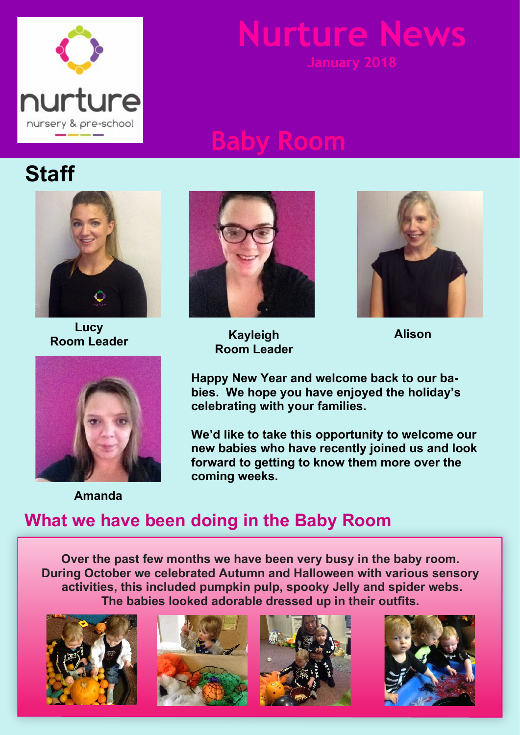

# **Nurture New**

## **Baby Room**



**Lucy Room Leader Alison**



**Amanda**



**Kayleigh Room Leader**



**Happy New Year and welcome back to our babies. We hope you have enjoyed the holiday's celebrating with your families.**

**We'd like to take this opportunity to welcome our new babies who have recently joined us and look forward to getting to know them more over the coming weeks.**

### **What we have been doing in the Baby Room**

**Over the past few months we have been very busy in the baby room. During October we celebrated Autumn and Halloween with various sensory activities, this included pumpkin pulp, spooky Jelly and spider webs. The babies looked adorable dressed up in their outfits.**







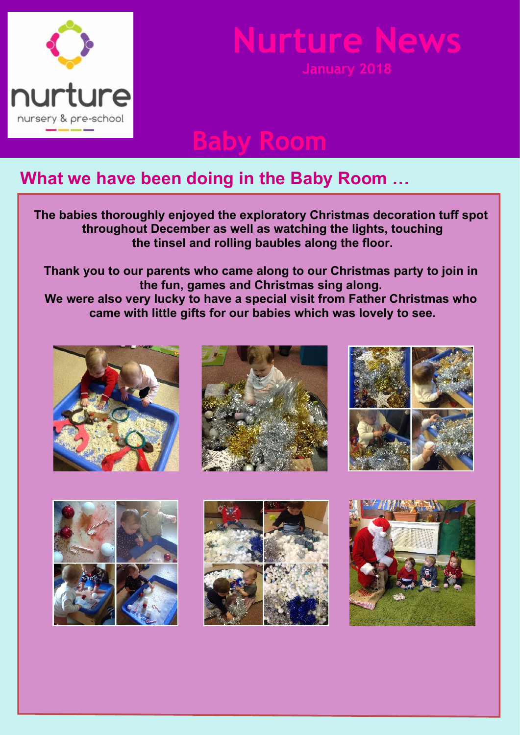

# **Nurture New**

**Baby Room**

### **What we have been doing in the Baby Room …**

**The babies thoroughly enjoyed the exploratory Christmas decoration tuff spot throughout December as well as watching the lights, touching the tinsel and rolling baubles along the floor.**

**Thank you to our parents who came along to our Christmas party to join in the fun, games and Christmas sing along. We were also very lucky to have a special visit from Father Christmas who came with little gifts for our babies which was lovely to see.**